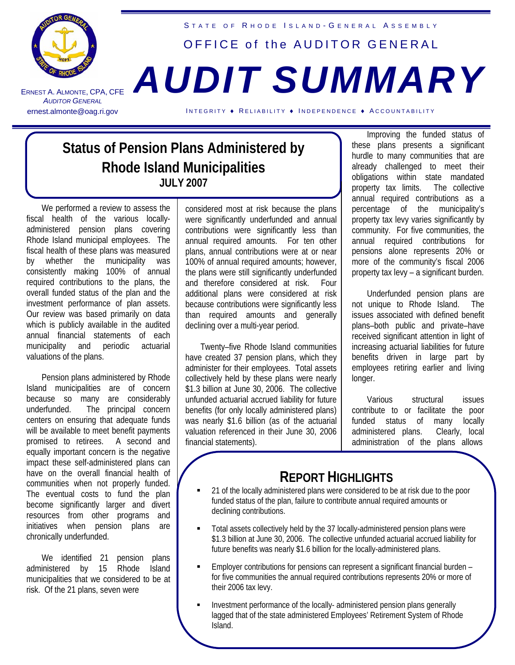

ERNEST A. ALMONTE **AUDITOR GENERAL** 

## STATE OF RHODE ISLAND-GENERAL ASSEMBLY OFFICE of the AUDITOR GENERAL , CPA, CFE *AUDIT SUMMARY*

ernest.almonte@oag.ri.gov INTEGRITY • RELIABILITY • INDEPENDENCE • ACCOUNTABILITY

## **Status of Pension Plans Administered by Rhode Island Municipalities JULY 2007**

We performed a review to assess the fiscal health of the various locallyadministered pension plans covering Rhode Island municipal employees. The fiscal health of these plans was measured by whether the municipality was consistently making 100% of annual required contributions to the plans, the overall funded status of the plan and the investment performance of plan assets. Our review was based primarily on data which is publicly available in the audited annual financial statements of each municipality and periodic actuarial valuations of the plans.

Pension plans administered by Rhode Island municipalities are of concern because so many are considerably underfunded. The principal concern centers on ensuring that adequate funds will be available to meet benefit payments promised to retirees. A second and equally important concern is the negative impact these self-administered plans can have on the overall financial health of communities when not properly funded. The eventual costs to fund the plan become significantly larger and divert resources from other programs and initiatives when pension plans are chronically underfunded.

We identified 21 pension plans administered by 15 Rhode Island municipalities that we considered to be at risk. Of the 21 plans, seven were

considered most at risk because the plans were significantly underfunded and annual contributions were significantly less than annual required amounts. For ten other plans, annual contributions were at or near 100% of annual required amounts; however, the plans were still significantly underfunded and therefore considered at risk. Four additional plans were considered at risk because contributions were significantly less than required amounts and generally declining over a multi-year period.

Twenty–five Rhode Island communities have created 37 pension plans, which they administer for their employees. Total assets collectively held by these plans were nearly \$1.3 billion at June 30, 2006. The collective unfunded actuarial accrued liability for future benefits (for only locally administered plans) was nearly \$1.6 billion (as of the actuarial valuation referenced in their June 30, 2006 financial statements).

Improving the funded status of these plans presents a significant hurdle to many communities that are already challenged to meet their obligations within state mandated property tax limits. The collective annual required contributions as a percentage of the municipality's property tax levy varies significantly by community. For five communities, the annual required contributions for pensions alone represents 20% or more of the community's fiscal 2006 property tax levy – a significant burden.

Underfunded pension plans are not unique to Rhode Island. The issues associated with defined benefit plans–both public and private–have received significant attention in light of increasing actuarial liabilities for future benefits driven in large part by employees retiring earlier and living longer.

Various structural issues contribute to or facilitate the poor funded status of many locally administered plans. Clearly, local administration of the plans allows

## **REPORT HIGHLIGHTS**

- 21 of the locally administered plans were considered to be at risk due to the poor funded status of the plan, failure to contribute annual required amounts or declining contributions.
- Total assets collectively held by the 37 locally-administered pension plans were \$1.3 billion at June 30, 2006. The collective unfunded actuarial accrued liability for future benefits was nearly \$1.6 billion for the locally-administered plans.
- Employer contributions for pensions can represent a significant financial burden for five communities the annual required contributions represents 20% or more of their 2006 tax levy.
- Investment performance of the locally- administered pension plans generally lagged that of the state administered Employees' Retirement System of Rhode Island.